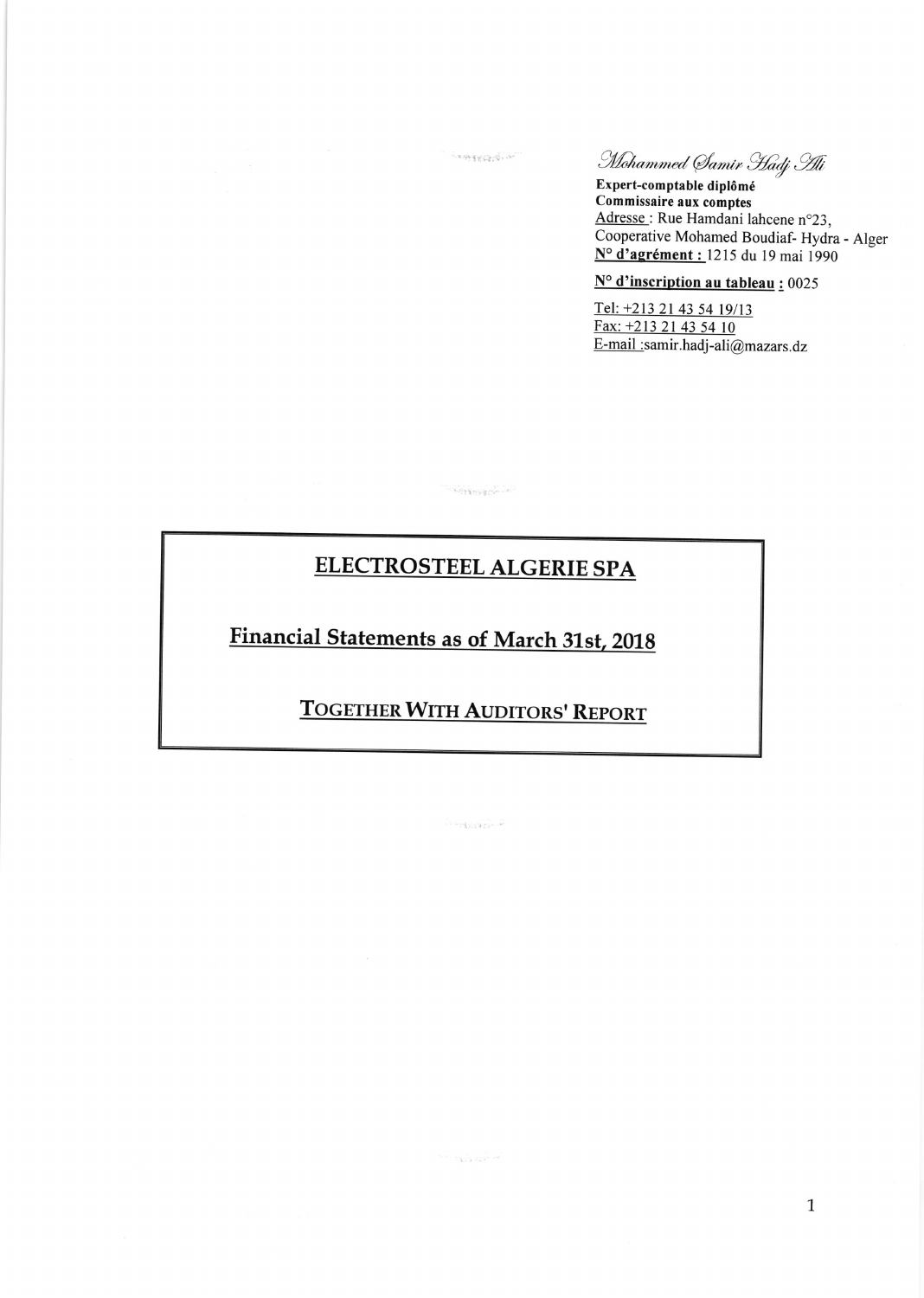Mohammed Samir Hadj Hi

Expert-comptable diplômé Commissaire aux comptes Adresse: Rue Hamdani lahcene n°23, Cooperative Mohamed Boudiaf-Hydra - Alger  $N^{\circ}$  d'agrément : 1215 du 19 mai 1990

## N° d'inscription au tableau : 0025

Tel: +213 21 43 54 19/13 Fax: +213 21 43 54 10 E-mail :samir.hadj-ali@mazars.dz

## **ELECTROSTEEL ALGERIE SPA**

**CONTRACTOR** 

**SERVICES** 

**Financial Statements as of March 31st, 2018** 

## **TOGETHER WITH AUDITORS' REPORT**

 $\widehat{\mathcal{O}}$  erg and  $\widehat{\mathcal{O}}$ 

 $\label{eq:1} \begin{array}{ll} \mathcal{L}_{\text{max}}(\mathcal{L}_{\text{max}}) = \mathcal{L}_{\text{max}}(\mathcal{L}_{\text{max}}) \end{array}$